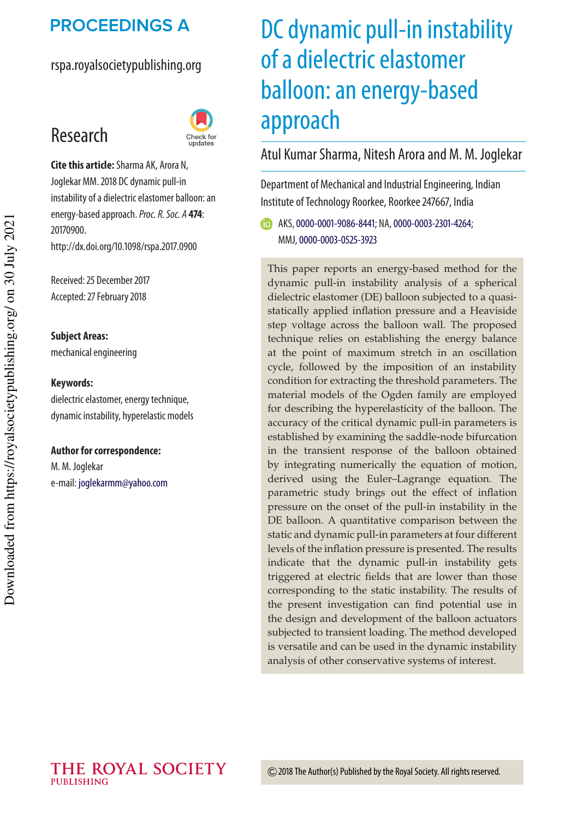## **PROCEEDINGS A**

#### rspa.royalsocietypublishing.org

# Research



**Cite this article:**Sharma AK, Arora N, Joglekar MM. 2018 DC dynamic pull-in instability of a dielectric elastomer balloon: an energy-based approach.Proc. R. Soc. A **474**: 20170900. http://dx.doi.org/10.1098/rspa.2017.0900

Received: 25 December 2017 Accepted: 27 February 2018

**Subject Areas:** mechanical engineering

#### **Keywords:**

dielectric elastomer, energy technique, dynamic instability, hyperelastic models

#### **Author for correspondence:**

M. M. Joglekar e-mail: joglekarmm@yahoo.com

# DC dynamic pull-in instability of a dielectric elastomer balloon: an energy-based approach

#### Atul Kumar Sharma, Nitesh Arora and M. M. Joglekar

Department of Mechanical and Industrial Engineering, Indian Institute of Technology Roorkee, Roorkee 247667, India

AKS,0000-0001-9086-8441; NA,0000-0003-2301-4264; MMJ,0000-0003-0525-3923

This paper reports an energy-based method for the dynamic pull-in instability analysis of a spherical dielectric elastomer (DE) balloon subjected to a quasistatically applied inflation pressure and a Heaviside step voltage across the balloon wall. The proposed technique relies on establishing the energy balance at the point of maximum stretch in an oscillation cycle, followed by the imposition of an instability condition for extracting the threshold parameters. The material models of the Ogden family are employed for describing the hyperelasticity of the balloon. The accuracy of the critical dynamic pull-in parameters is established by examining the saddle-node bifurcation in the transient response of the balloon obtained by integrating numerically the equation of motion, derived using the Euler–Lagrange equation. The parametric study brings out the effect of inflation pressure on the onset of the pull-in instability in the DE balloon. A quantitative comparison between the static and dynamic pull-in parameters at four different levels of the inflation pressure is presented. The results indicate that the dynamic pull-in instability gets triggered at electric fields that are lower than those corresponding to the static instability. The results of the present investigation can find potential use in the design and development of the balloon actuators subjected to transient loading. The method developed is versatile and can be used in the dynamic instability analysis of other conservative systems of interest.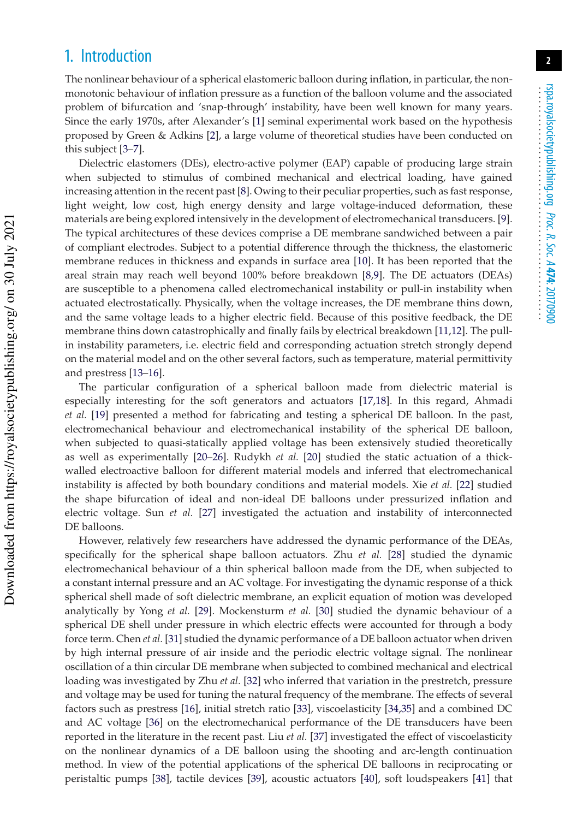### 1. Introduction

The nonlinear behaviour of a spherical elastomeric balloon during inflation, in particular, the nonmonotonic behaviour of inflation pressure as a function of the balloon volume and the associated problem of bifurcation and 'snap-through' instability, have been well known for many years. Since the early 1970s, after Alexander's [1] seminal experimental work based on the hypothesis proposed by Green & Adkins [2], a large volume of theoretical studies have been conducted on this subject [3–7].

Dielectric elastomers (DEs), electro-active polymer (EAP) capable of producing large strain when subjected to stimulus of combined mechanical and electrical loading, have gained increasing attention in the recent past [8]. Owing to their peculiar properties, such as fast response, light weight, low cost, high energy density and large voltage-induced deformation, these materials are being explored intensively in the development of electromechanical transducers. [9]. The typical architectures of these devices comprise a DE membrane sandwiched between a pair of compliant electrodes. Subject to a potential difference through the thickness, the elastomeric membrane reduces in thickness and expands in surface area [10]. It has been reported that the areal strain may reach well beyond 100% before breakdown [8,9]. The DE actuators (DEAs) are susceptible to a phenomena called electromechanical instability or pull-in instability when actuated electrostatically. Physically, when the voltage increases, the DE membrane thins down, and the same voltage leads to a higher electric field. Because of this positive feedback, the DE membrane thins down catastrophically and finally fails by electrical breakdown [11,12]. The pullin instability parameters, i.e. electric field and corresponding actuation stretch strongly depend on the material model and on the other several factors, such as temperature, material permittivity and prestress [13–16].

The particular configuration of a spherical balloon made from dielectric material is especially interesting for the soft generators and actuators [17,18]. In this regard, Ahmadi *et al.* [19] presented a method for fabricating and testing a spherical DE balloon. In the past, electromechanical behaviour and electromechanical instability of the spherical DE balloon, when subjected to quasi-statically applied voltage has been extensively studied theoretically as well as experimentally [20–26]. Rudykh *et al.* [20] studied the static actuation of a thickwalled electroactive balloon for different material models and inferred that electromechanical instability is affected by both boundary conditions and material models. Xie *et al.* [22] studied the shape bifurcation of ideal and non-ideal DE balloons under pressurized inflation and electric voltage. Sun *et al.* [27] investigated the actuation and instability of interconnected DE balloons.

However, relatively few researchers have addressed the dynamic performance of the DEAs, specifically for the spherical shape balloon actuators. Zhu *et al.* [28] studied the dynamic electromechanical behaviour of a thin spherical balloon made from the DE, when subjected to a constant internal pressure and an AC voltage. For investigating the dynamic response of a thick spherical shell made of soft dielectric membrane, an explicit equation of motion was developed analytically by Yong *et al.* [29]. Mockensturm *et al.* [30] studied the dynamic behaviour of a spherical DE shell under pressure in which electric effects were accounted for through a body force term. Chen *et al.* [31] studied the dynamic performance of a DE balloon actuator when driven by high internal pressure of air inside and the periodic electric voltage signal. The nonlinear oscillation of a thin circular DE membrane when subjected to combined mechanical and electrical loading was investigated by Zhu *et al.* [32] who inferred that variation in the prestretch, pressure and voltage may be used for tuning the natural frequency of the membrane. The effects of several factors such as prestress [16], initial stretch ratio [33], viscoelasticity [34,35] and a combined DC and AC voltage [36] on the electromechanical performance of the DE transducers have been reported in the literature in the recent past. Liu *et al.* [37] investigated the effect of viscoelasticity on the nonlinear dynamics of a DE balloon using the shooting and arc-length continuation method. In view of the potential applications of the spherical DE balloons in reciprocating or peristaltic pumps [38], tactile devices [39], acoustic actuators [40], soft loudspeakers [41] that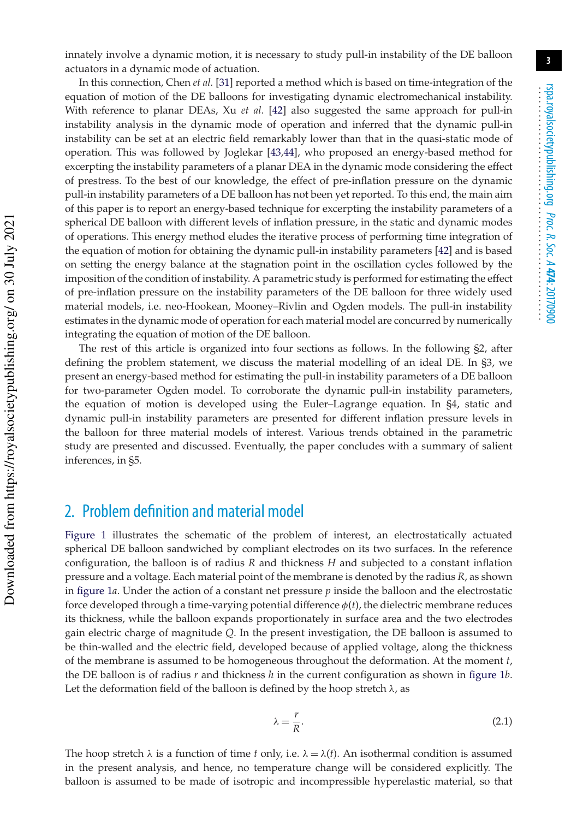innately involve a dynamic motion, it is necessary to study pull-in instability of the DE balloon actuators in a dynamic mode of actuation.

In this connection, Chen *et al.* [31] reported a method which is based on time-integration of the equation of motion of the DE balloons for investigating dynamic electromechanical instability. With reference to planar DEAs, Xu *et al.* [42] also suggested the same approach for pull-in instability analysis in the dynamic mode of operation and inferred that the dynamic pull-in instability can be set at an electric field remarkably lower than that in the quasi-static mode of operation. This was followed by Joglekar [43,44], who proposed an energy-based method for excerpting the instability parameters of a planar DEA in the dynamic mode considering the effect of prestress. To the best of our knowledge, the effect of pre-inflation pressure on the dynamic pull-in instability parameters of a DE balloon has not been yet reported. To this end, the main aim of this paper is to report an energy-based technique for excerpting the instability parameters of a spherical DE balloon with different levels of inflation pressure, in the static and dynamic modes of operations. This energy method eludes the iterative process of performing time integration of the equation of motion for obtaining the dynamic pull-in instability parameters [42] and is based on setting the energy balance at the stagnation point in the oscillation cycles followed by the imposition of the condition of instability. A parametric study is performed for estimating the effect of pre-inflation pressure on the instability parameters of the DE balloon for three widely used material models, i.e. neo-Hookean, Mooney–Rivlin and Ogden models. The pull-in instability estimates in the dynamic mode of operation for each material model are concurred by numerically integrating the equation of motion of the DE balloon.

The rest of this article is organized into four sections as follows. In the following §2, after defining the problem statement, we discuss the material modelling of an ideal DE. In §3, we present an energy-based method for estimating the pull-in instability parameters of a DE balloon for two-parameter Ogden model. To corroborate the dynamic pull-in instability parameters, the equation of motion is developed using the Euler–Lagrange equation. In §4, static and dynamic pull-in instability parameters are presented for different inflation pressure levels in the balloon for three material models of interest. Various trends obtained in the parametric study are presented and discussed. Eventually, the paper concludes with a summary of salient inferences, in §5.

## 2. Problem definition and material model

 Downloaded from https://royalsocietypublishing.org/ on 30 July 2021 Downloaded from https://royalsocietypublishing.org/ on 30 July 2021

Figure 1 illustrates the schematic of the problem of interest, an electrostatically actuated spherical DE balloon sandwiched by compliant electrodes on its two surfaces. In the reference configuration, the balloon is of radius *R* and thickness *H* and subjected to a constant inflation pressure and a voltage. Each material point of the membrane is denoted by the radius *R*, as shown in figure 1*a*. Under the action of a constant net pressure *p* inside the balloon and the electrostatic force developed through a time-varying potential difference  $\phi(t)$ , the dielectric membrane reduces its thickness, while the balloon expands proportionately in surface area and the two electrodes gain electric charge of magnitude *Q*. In the present investigation, the DE balloon is assumed to be thin-walled and the electric field, developed because of applied voltage, along the thickness of the membrane is assumed to be homogeneous throughout the deformation. At the moment *t*, the DE balloon is of radius *r* and thickness *h* in the current configuration as shown in figure 1*b*. Let the deformation field of the balloon is defined by the hoop stretch  $\lambda$ , as

$$
\lambda = \frac{r}{R}.\tag{2.1}
$$

The hoop stretch  $\lambda$  is a function of time *t* only, i.e.  $\lambda = \lambda(t)$ . An isothermal condition is assumed in the present analysis, and hence, no temperature change will be considered explicitly. The balloon is assumed to be made of isotropic and incompressible hyperelastic material, so that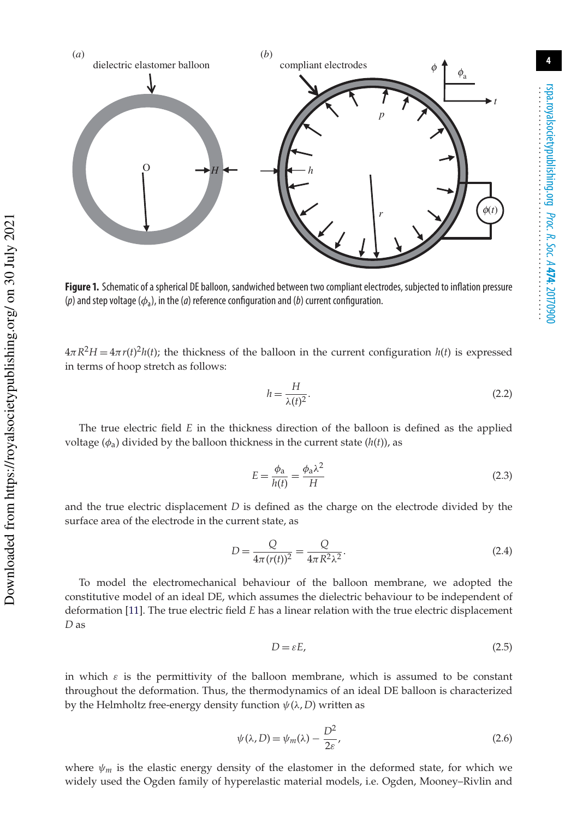

**Figure 1.** Schematic of a spherical DE balloon, sandwiched between two compliant electrodes, subjected to inflation pressure (p) and step voltage ( $\phi_a$ ), in the (a) reference configuration and (b) current configuration.

 $4\pi R^2H = 4\pi r(t)^2 h(t)$ ; the thickness of the balloon in the current configuration  $h(t)$  is expressed in terms of hoop stretch as follows:

$$
h = \frac{H}{\lambda(t)^2}.\tag{2.2}
$$

The true electric field *E* in the thickness direction of the balloon is defined as the applied voltage ( $\phi_a$ ) divided by the balloon thickness in the current state ( $h(t)$ ), as

$$
E = \frac{\phi_a}{h(t)} = \frac{\phi_a \lambda^2}{H}
$$
\n(2.3)

and the true electric displacement *D* is defined as the charge on the electrode divided by the surface area of the electrode in the current state, as

$$
D = \frac{Q}{4\pi (r(t))^{2}} = \frac{Q}{4\pi R^{2} \lambda^{2}}.
$$
 (2.4)

To model the electromechanical behaviour of the balloon membrane, we adopted the constitutive model of an ideal DE, which assumes the dielectric behaviour to be independent of deformation [11]. The true electric field *E* has a linear relation with the true electric displacement *D* as

$$
D = \varepsilon E, \tag{2.5}
$$

in which  $\varepsilon$  is the permittivity of the balloon membrane, which is assumed to be constant throughout the deformation. Thus, the thermodynamics of an ideal DE balloon is characterized by the Helmholtz free-energy density function  $\psi(\lambda, D)$  written as

$$
\psi(\lambda, D) = \psi_m(\lambda) - \frac{D^2}{2\varepsilon},\tag{2.6}
$$

where  $\psi_m$  is the elastic energy density of the elastomer in the deformed state, for which we widely used the Ogden family of hyperelastic material models, i.e. Ogden, Mooney–Rivlin and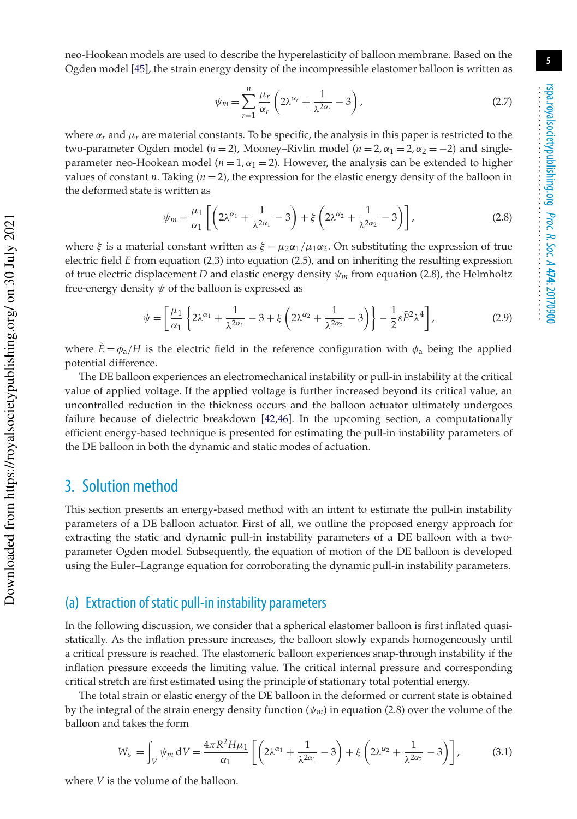neo-Hookean models are used to describe the hyperelasticity of balloon membrane. Based on the Ogden model [45], the strain energy density of the incompressible elastomer balloon is written as

$$
\psi_m = \sum_{r=1}^n \frac{\mu_r}{\alpha_r} \left( 2\lambda^{\alpha_r} + \frac{1}{\lambda^{2\alpha_r}} - 3 \right),\tag{2.7}
$$

where  $\alpha_r$  and  $\mu_r$  are material constants. To be specific, the analysis in this paper is restricted to the two-parameter Ogden model ( $n = 2$ ), Mooney–Rivlin model ( $n = 2, \alpha_1 = 2, \alpha_2 = -2$ ) and singleparameter neo-Hookean model ( $n = 1, \alpha_1 = 2$ ). However, the analysis can be extended to higher values of constant  $n$ . Taking  $(n = 2)$ , the expression for the elastic energy density of the balloon in the deformed state is written as

$$
\psi_m = \frac{\mu_1}{\alpha_1} \left[ \left( 2\lambda^{\alpha_1} + \frac{1}{\lambda^{2\alpha_1}} - 3 \right) + \xi \left( 2\lambda^{\alpha_2} + \frac{1}{\lambda^{2\alpha_2}} - 3 \right) \right],
$$
\n(2.8)

where ξ is a material constant written as  $\xi = \mu_2 \alpha_1 / \mu_1 \alpha_2$ . On substituting the expression of true electric field *E* from equation (2.3) into equation (2.5), and on inheriting the resulting expression of true electric displacement *D* and elastic energy density  $\psi_m$  from equation (2.8), the Helmholtz free-energy density  $\psi$  of the balloon is expressed as

$$
\psi = \left[\frac{\mu_1}{\alpha_1} \left\{ 2\lambda^{\alpha_1} + \frac{1}{\lambda^{2\alpha_1}} - 3 + \xi \left( 2\lambda^{\alpha_2} + \frac{1}{\lambda^{2\alpha_2}} - 3 \right) \right\} - \frac{1}{2} \varepsilon \tilde{E}^2 \lambda^4 \right],
$$
(2.9)

where  $\ddot{E} = \phi_a/H$  is the electric field in the reference configuration with  $\phi_a$  being the applied potential difference.

The DE balloon experiences an electromechanical instability or pull-in instability at the critical value of applied voltage. If the applied voltage is further increased beyond its critical value, an uncontrolled reduction in the thickness occurs and the balloon actuator ultimately undergoes failure because of dielectric breakdown [42,46]. In the upcoming section, a computationally efficient energy-based technique is presented for estimating the pull-in instability parameters of the DE balloon in both the dynamic and static modes of actuation.

#### 3. Solution method

This section presents an energy-based method with an intent to estimate the pull-in instability parameters of a DE balloon actuator. First of all, we outline the proposed energy approach for extracting the static and dynamic pull-in instability parameters of a DE balloon with a twoparameter Ogden model. Subsequently, the equation of motion of the DE balloon is developed using the Euler–Lagrange equation for corroborating the dynamic pull-in instability parameters.

#### (a) Extraction of static pull-in instability parameters

In the following discussion, we consider that a spherical elastomer balloon is first inflated quasistatically. As the inflation pressure increases, the balloon slowly expands homogeneously until a critical pressure is reached. The elastomeric balloon experiences snap-through instability if the inflation pressure exceeds the limiting value. The critical internal pressure and corresponding critical stretch are first estimated using the principle of stationary total potential energy.

The total strain or elastic energy of the DE balloon in the deformed or current state is obtained by the integral of the strain energy density function  $(\psi_m)$  in equation (2.8) over the volume of the balloon and takes the form

$$
W_{\rm s} = \int_{V} \psi_m \, dV = \frac{4\pi R^2 H \mu_1}{\alpha_1} \left[ \left( 2\lambda^{\alpha_1} + \frac{1}{\lambda^{2\alpha_1}} - 3 \right) + \xi \left( 2\lambda^{\alpha_2} + \frac{1}{\lambda^{2\alpha_2}} - 3 \right) \right],\tag{3.1}
$$

where *V* is the volume of the balloon.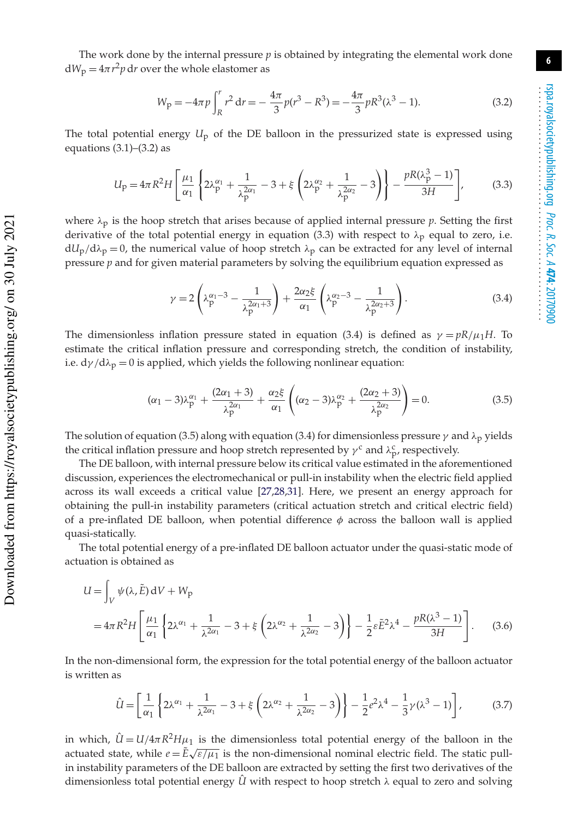The work done by the internal pressure *p* is obtained by integrating the elemental work done  $dW_p = 4\pi r^2 p dr$  over the whole elastomer as

$$
W_{\mathcal{P}} = -4\pi p \int_{R}^{r} r^{2} dr = -\frac{4\pi}{3} p(r^{3} - R^{3}) = -\frac{4\pi}{3} pR^{3} (\lambda^{3} - 1).
$$
 (3.2)

The total potential energy  $U_p$  of the DE balloon in the pressurized state is expressed using equations  $(3.1)$ – $(3.2)$  as

$$
U_{\rm p} = 4\pi R^2 H \left[ \frac{\mu_1}{\alpha_1} \left\{ 2\lambda_{\rm p}^{\alpha_1} + \frac{1}{\lambda_{\rm p}^{2\alpha_1}} - 3 + \xi \left( 2\lambda_{\rm p}^{\alpha_2} + \frac{1}{\lambda_{\rm p}^{2\alpha_2}} - 3 \right) \right\} - \frac{pR(\lambda_{\rm p}^3 - 1)}{3H} \right],
$$
(3.3)

where  $\lambda_p$  is the hoop stretch that arises because of applied internal pressure *p*. Setting the first derivative of the total potential energy in equation (3.3) with respect to  $\lambda_p$  equal to zero, i.e.  $dU_p/d\lambda_p = 0$ , the numerical value of hoop stretch  $\lambda_p$  can be extracted for any level of internal pressure *p* and for given material parameters by solving the equilibrium equation expressed as

$$
\gamma = 2\left(\lambda_p^{\alpha_1 - 3} - \frac{1}{\lambda_p^{2\alpha_1 + 3}}\right) + \frac{2\alpha_2 \xi}{\alpha_1} \left(\lambda_p^{\alpha_2 - 3} - \frac{1}{\lambda_p^{2\alpha_2 + 3}}\right). \tag{3.4}
$$

The dimensionless inflation pressure stated in equation (3.4) is defined as  $\gamma = pR/\mu_1H$ . To estimate the critical inflation pressure and corresponding stretch, the condition of instability, i.e.  $d\gamma/d\lambda_p = 0$  is applied, which yields the following nonlinear equation:

$$
(\alpha_1 - 3)\lambda_p^{\alpha_1} + \frac{(2\alpha_1 + 3)}{\lambda_p^{2\alpha_1}} + \frac{\alpha_2 \xi}{\alpha_1} \left( (\alpha_2 - 3)\lambda_p^{\alpha_2} + \frac{(2\alpha_2 + 3)}{\lambda_p^{2\alpha_2}} \right) = 0.
$$
 (3.5)

The solution of equation (3.5) along with equation (3.4) for dimensionless pressure  $\gamma$  and  $\lambda_p$  yields the critical inflation pressure and hoop stretch represented by  $\gamma^c$  and  $\lambda_p^c$ , respectively.

The DE balloon, with internal pressure below its critical value estimated in the aforementioned discussion, experiences the electromechanical or pull-in instability when the electric field applied across its wall exceeds a critical value [27,28,31]. Here, we present an energy approach for obtaining the pull-in instability parameters (critical actuation stretch and critical electric field) of a pre-inflated DE balloon, when potential difference  $\phi$  across the balloon wall is applied quasi-statically.

The total potential energy of a pre-inflated DE balloon actuator under the quasi-static mode of actuation is obtained as

$$
U = \int_{V} \psi(\lambda, \tilde{E}) dV + W_{\text{p}}
$$
  
=  $4\pi R^2 H \left[ \frac{\mu_1}{\alpha_1} \left\{ 2\lambda^{\alpha_1} + \frac{1}{\lambda^{2\alpha_1}} - 3 + \xi \left( 2\lambda^{\alpha_2} + \frac{1}{\lambda^{2\alpha_2}} - 3 \right) \right\} - \frac{1}{2} \varepsilon \tilde{E}^2 \lambda^4 - \frac{pR(\lambda^3 - 1)}{3H} \right].$  (3.6)

In the non-dimensional form, the expression for the total potential energy of the balloon actuator is written as

$$
\hat{U} = \left[\frac{1}{\alpha_1} \left\{ 2\lambda^{\alpha_1} + \frac{1}{\lambda^{2\alpha_1}} - 3 + \xi \left( 2\lambda^{\alpha_2} + \frac{1}{\lambda^{2\alpha_2}} - 3 \right) \right\} - \frac{1}{2} e^2 \lambda^4 - \frac{1}{3} \gamma (\lambda^3 - 1) \right],\tag{3.7}
$$

in which,  $\hat{U} = U/4\pi R^2 H \mu_1$  is the dimensionless total potential energy of the balloon in the actuated state, while  $e = \tilde{E}\sqrt{\varepsilon/\mu_1}$  is the non-dimensional nominal electric field. The static pullin instability parameters of the DE balloon are extracted by setting the first two derivatives of the dimensionless total potential energy  $\hat{U}$  with respect to hoop stretch  $\lambda$  equal to zero and solving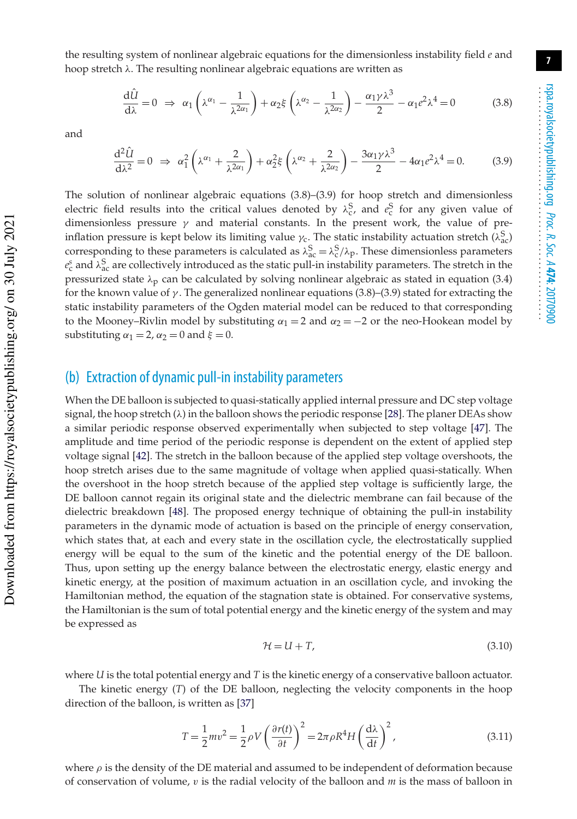the resulting system of nonlinear algebraic equations for the dimensionless instability field *e* and hoop stretch  $\lambda$ . The resulting nonlinear algebraic equations are written as

$$
\frac{d\tilde{U}}{d\lambda} = 0 \implies \alpha_1 \left(\lambda^{\alpha_1} - \frac{1}{\lambda^{2\alpha_1}}\right) + \alpha_2 \xi \left(\lambda^{\alpha_2} - \frac{1}{\lambda^{2\alpha_2}}\right) - \frac{\alpha_1 \gamma \lambda^3}{2} - \alpha_1 e^2 \lambda^4 = 0 \tag{3.8}
$$

and

$$
\frac{d^2\hat{U}}{d\lambda^2} = 0 \implies \alpha_1^2 \left(\lambda^{\alpha_1} + \frac{2}{\lambda^{2\alpha_1}}\right) + \alpha_2^2 \xi \left(\lambda^{\alpha_2} + \frac{2}{\lambda^{2\alpha_2}}\right) - \frac{3\alpha_1 \gamma \lambda^3}{2} - 4\alpha_1 e^2 \lambda^4 = 0. \tag{3.9}
$$

The solution of nonlinear algebraic equations  $(3.8)$ – $(3.9)$  for hoop stretch and dimensionless electric field results into the critical values denoted by  $\lambda_c^S$ , and  $e_c^S$  for any given value of dimensionless pressure  $\gamma$  and material constants. In the present work, the value of preinflation pressure is kept below its limiting value  $\gamma_c$ . The static instability actuation stretch ( $\lambda_{ac}^S$ ) corresponding to these parameters is calculated as  $\lambda_{ac}^{S} = \lambda_{c}^{S}/\lambda_{p}$ . These dimensionless parameters  $e_c^s$  and  $\lambda_{ac}^S$  are collectively introduced as the static pull-in instability parameters. The stretch in the pressurized state  $\lambda_p$  can be calculated by solving nonlinear algebraic as stated in equation (3.4) for the known value of  $\gamma$ . The generalized nonlinear equations (3.8)–(3.9) stated for extracting the static instability parameters of the Ogden material model can be reduced to that corresponding to the Mooney–Rivlin model by substituting  $\alpha_1 = 2$  and  $\alpha_2 = -2$  or the neo-Hookean model by substituting  $\alpha_1 = 2$ ,  $\alpha_2 = 0$  and  $\xi = 0$ .

#### (b) Extraction of dynamic pull-in instability parameters

When the DE balloon is subjected to quasi-statically applied internal pressure and DC step voltage signal, the hoop stretch  $(\lambda)$  in the balloon shows the periodic response [28]. The planer DEAs show a similar periodic response observed experimentally when subjected to step voltage [47]. The amplitude and time period of the periodic response is dependent on the extent of applied step voltage signal [42]. The stretch in the balloon because of the applied step voltage overshoots, the hoop stretch arises due to the same magnitude of voltage when applied quasi-statically. When the overshoot in the hoop stretch because of the applied step voltage is sufficiently large, the DE balloon cannot regain its original state and the dielectric membrane can fail because of the dielectric breakdown [48]. The proposed energy technique of obtaining the pull-in instability parameters in the dynamic mode of actuation is based on the principle of energy conservation, which states that, at each and every state in the oscillation cycle, the electrostatically supplied energy will be equal to the sum of the kinetic and the potential energy of the DE balloon. Thus, upon setting up the energy balance between the electrostatic energy, elastic energy and kinetic energy, at the position of maximum actuation in an oscillation cycle, and invoking the Hamiltonian method, the equation of the stagnation state is obtained. For conservative systems, the Hamiltonian is the sum of total potential energy and the kinetic energy of the system and may be expressed as

$$
\mathcal{H} = U + T,\tag{3.10}
$$

where *U* is the total potential energy and *T* is the kinetic energy of a conservative balloon actuator.

The kinetic energy (*T*) of the DE balloon, neglecting the velocity components in the hoop direction of the balloon, is written as [37]

$$
T = \frac{1}{2}mv^2 = \frac{1}{2}\rho V \left(\frac{\partial r(t)}{\partial t}\right)^2 = 2\pi \rho R^4 H \left(\frac{d\lambda}{dt}\right)^2,
$$
\n(3.11)

where  $\rho$  is the density of the DE material and assumed to be independent of deformation because of conservation of volume, v is the radial velocity of the balloon and *m* is the mass of balloon in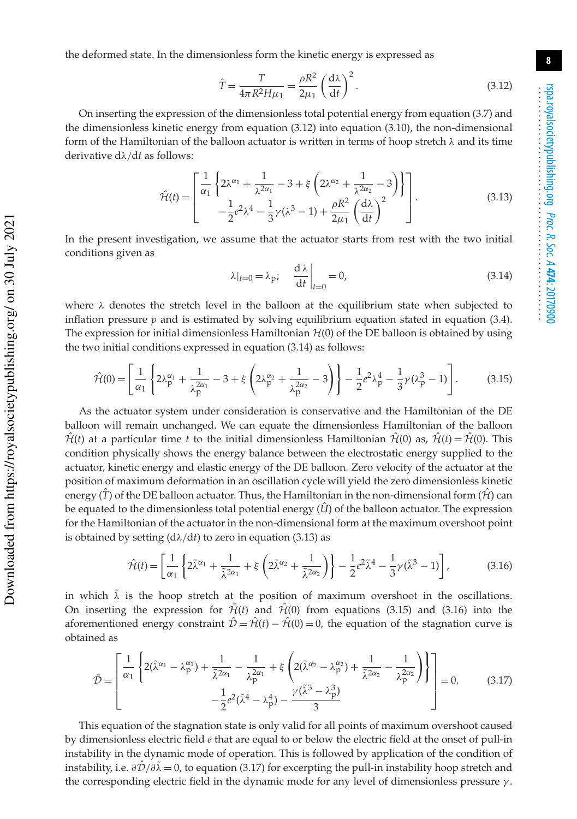the deformed state. In the dimensionless form the kinetic energy is expressed as

$$
\hat{T} = \frac{T}{4\pi R^2 H \mu_1} = \frac{\rho R^2}{2\mu_1} \left(\frac{d\lambda}{dt}\right)^2.
$$
\n(3.12)

On inserting the expression of the dimensionless total potential energy from equation (3.7) and the dimensionless kinetic energy from equation (3.12) into equation (3.10), the non-dimensional form of the Hamiltonian of the balloon actuator is written in terms of hoop stretch  $\lambda$  and its time derivative dλ/d*t* as follows:

$$
\hat{\mathcal{H}}(t) = \begin{bmatrix} \frac{1}{\alpha_1} \left\{ 2\lambda^{\alpha_1} + \frac{1}{\lambda^{2\alpha_1}} - 3 + \xi \left( 2\lambda^{\alpha_2} + \frac{1}{\lambda^{2\alpha_2}} - 3 \right) \right\} \\ -\frac{1}{2} e^2 \lambda^4 - \frac{1}{3} \gamma (\lambda^3 - 1) + \frac{\rho R^2}{2\mu_1} \left( \frac{d\lambda}{dt} \right)^2 \end{bmatrix} . \tag{3.13}
$$

In the present investigation, we assume that the actuator starts from rest with the two initial conditions given as

$$
\lambda|_{t=0} = \lambda_{\rm P}; \quad \left. \frac{\mathrm{d}\lambda}{\mathrm{d}t} \right|_{t=0} = 0,\tag{3.14}
$$

where  $\lambda$  denotes the stretch level in the balloon at the equilibrium state when subjected to inflation pressure  $p$  and is estimated by solving equilibrium equation stated in equation  $(3.4)$ . The expression for initial dimensionless Hamiltonian  $H(0)$  of the DE balloon is obtained by using the two initial conditions expressed in equation (3.14) as follows:

$$
\hat{\mathcal{H}}(0) = \left[ \frac{1}{\alpha_1} \left\{ 2\lambda_p^{\alpha_1} + \frac{1}{\lambda_p^{2\alpha_1}} - 3 + \xi \left( 2\lambda_p^{\alpha_2} + \frac{1}{\lambda_p^{2\alpha_2}} - 3 \right) \right\} - \frac{1}{2} e^2 \lambda_p^4 - \frac{1}{3} \gamma (\lambda_p^3 - 1) \right].
$$
 (3.15)

As the actuator system under consideration is conservative and the Hamiltonian of the DE balloon will remain unchanged. We can equate the dimensionless Hamiltonian of the balloon  $\hat{\mathcal{H}}(t)$  at a particular time *t* to the initial dimensionless Hamiltonian  $\hat{\mathcal{H}}(0)$  as,  $\hat{\mathcal{H}}(t) = \hat{\mathcal{H}}(0)$ . This condition physically shows the energy balance between the electrostatic energy supplied to the actuator, kinetic energy and elastic energy of the DE balloon. Zero velocity of the actuator at the position of maximum deformation in an oscillation cycle will yield the zero dimensionless kinetic energy  $(\hat{T})$  of the DE balloon actuator. Thus, the Hamiltonian in the non-dimensional form  $(\hat{H})$  can be equated to the dimensionless total potential energy  $(\hat{U})$  of the balloon actuator. The expression for the Hamiltonian of the actuator in the non-dimensional form at the maximum overshoot point is obtained by setting  $(d\lambda/dt)$  to zero in equation (3.13) as

$$
\hat{\mathcal{H}}(t) = \left[\frac{1}{\alpha_1} \left\{ 2\tilde{\lambda}^{\alpha_1} + \frac{1}{\tilde{\lambda}^{2\alpha_1}} + \xi \left( 2\tilde{\lambda}^{\alpha_2} + \frac{1}{\tilde{\lambda}^{2\alpha_2}} \right) \right\} - \frac{1}{2} e^2 \tilde{\lambda}^4 - \frac{1}{3} \gamma (\tilde{\lambda}^3 - 1) \right],\tag{3.16}
$$

in which  $\tilde{\lambda}$  is the hoop stretch at the position of maximum overshoot in the oscillations. On inserting the expression for  $\hat{\mathcal{H}}(t)$  and  $\hat{\mathcal{H}}(0)$  from equations (3.15) and (3.16) into the aforementioned energy constraint  $\hat{\mathcal{D}} = \hat{\mathcal{H}}(t) - \hat{\mathcal{H}}(0) = 0$ , the equation of the stagnation curve is obtained as

$$
\hat{\mathcal{D}} = \left[ \frac{1}{\alpha_1} \left\{ 2(\tilde{\lambda}^{\alpha_1} - \lambda_p^{\alpha_1}) + \frac{1}{\tilde{\lambda}^{2\alpha_1}} - \frac{1}{\lambda_p^{2\alpha_1}} + \xi \left( 2(\tilde{\lambda}^{\alpha_2} - \lambda_p^{\alpha_2}) + \frac{1}{\tilde{\lambda}^{2\alpha_2}} - \frac{1}{\lambda_p^{2\alpha_2}} \right) \right\} \right] = 0. \tag{3.17}
$$

This equation of the stagnation state is only valid for all points of maximum overshoot caused by dimensionless electric field *e* that are equal to or below the electric field at the onset of pull-in instability in the dynamic mode of operation. This is followed by application of the condition of instability, i.e.  $\partial \hat{\mathcal{D}}/\partial \tilde{\lambda} = 0$ , to equation (3.17) for excerpting the pull-in instability hoop stretch and the corresponding electric field in the dynamic mode for any level of dimensionless pressure  $\gamma$ .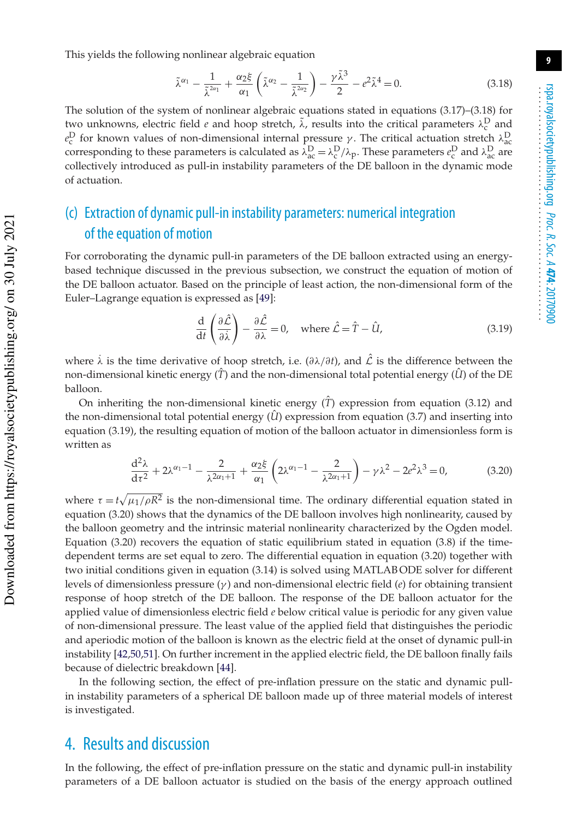This yields the following nonlinear algebraic equation

$$
\tilde{\lambda}^{\alpha_1} - \frac{1}{\tilde{\lambda}^{2\alpha_1}} + \frac{\alpha_2 \xi}{\alpha_1} \left( \tilde{\lambda}^{\alpha_2} - \frac{1}{\tilde{\lambda}^{2\alpha_2}} \right) - \frac{\gamma \tilde{\lambda}^3}{2} - e^2 \tilde{\lambda}^4 = 0.
$$
\n(3.18)

The solution of the system of nonlinear algebraic equations stated in equations (3.17)–(3.18) for two unknowns, electric field *e* and hoop stretch,  $\tilde{\lambda}$ , results into the critical parameters  $\lambda_c^D$  and  $e_c^D$  for known values of non-dimensional internal pressure γ. The critical actuation stretch  $\lambda_{\text{acc}}^D$ corresponding to these parameters is calculated as  $\lambda_{ac}^D = \lambda_c^D/\lambda_p$ . These parameters  $e_c^D$  and  $\lambda_{ac}^D$  are collectively introduced as pull-in instability parameters of the DE balloon in the dynamic mode of actuation.

## (c) Extraction of dynamic pull-in instability parameters: numerical integration of the equation of motion

For corroborating the dynamic pull-in parameters of the DE balloon extracted using an energybased technique discussed in the previous subsection, we construct the equation of motion of the DE balloon actuator. Based on the principle of least action, the non-dimensional form of the Euler–Lagrange equation is expressed as [49]:

$$
\frac{\mathrm{d}}{\mathrm{d}t}\left(\frac{\partial\hat{\mathcal{L}}}{\partial\dot{\lambda}}\right) - \frac{\partial\hat{\mathcal{L}}}{\partial\lambda} = 0, \quad \text{where } \hat{\mathcal{L}} = \hat{T} - \hat{U}, \tag{3.19}
$$

where  $\lambda$  is the time derivative of hoop stretch, i.e. ( $\frac{\partial \lambda}{\partial t}$ ), and  $\hat{\mathcal{L}}$  is the difference between the non-dimensional kinetic energy  $(\hat{T})$  and the non-dimensional total potential energy  $(\hat{U})$  of the DE balloon.

On inheriting the non-dimensional kinetic energy  $(\hat{T})$  expression from equation (3.12) and the non-dimensional total potential energy  $(\hat{U})$  expression from equation (3.7) and inserting into equation (3.19), the resulting equation of motion of the balloon actuator in dimensionless form is written as

$$
\frac{d^2 \lambda}{d\tau^2} + 2\lambda^{\alpha_1 - 1} - \frac{2}{\lambda^{2\alpha_1 + 1}} + \frac{\alpha_2 \xi}{\alpha_1} \left( 2\lambda^{\alpha_1 - 1} - \frac{2}{\lambda^{2\alpha_1 + 1}} \right) - \gamma \lambda^2 - 2e^2 \lambda^3 = 0,
$$
 (3.20)

where  $\tau = t \sqrt{\mu_1/\rho R^2}$  is the non-dimensional time. The ordinary differential equation stated in equation (3.20) shows that the dynamics of the DE balloon involves high nonlinearity, caused by the balloon geometry and the intrinsic material nonlinearity characterized by the Ogden model. Equation  $(3.20)$  recovers the equation of static equilibrium stated in equation  $(3.8)$  if the timedependent terms are set equal to zero. The differential equation in equation (3.20) together with two initial conditions given in equation (3.14) is solved using MATLAB ODE solver for different levels of dimensionless pressure (γ ) and non-dimensional electric field (*e*) for obtaining transient response of hoop stretch of the DE balloon. The response of the DE balloon actuator for the applied value of dimensionless electric field *e* below critical value is periodic for any given value of non-dimensional pressure. The least value of the applied field that distinguishes the periodic and aperiodic motion of the balloon is known as the electric field at the onset of dynamic pull-in instability [42,50,51]. On further increment in the applied electric field, the DE balloon finally fails because of dielectric breakdown [44].

In the following section, the effect of pre-inflation pressure on the static and dynamic pullin instability parameters of a spherical DE balloon made up of three material models of interest is investigated.

#### 4. Results and discussion

In the following, the effect of pre-inflation pressure on the static and dynamic pull-in instability parameters of a DE balloon actuator is studied on the basis of the energy approach outlined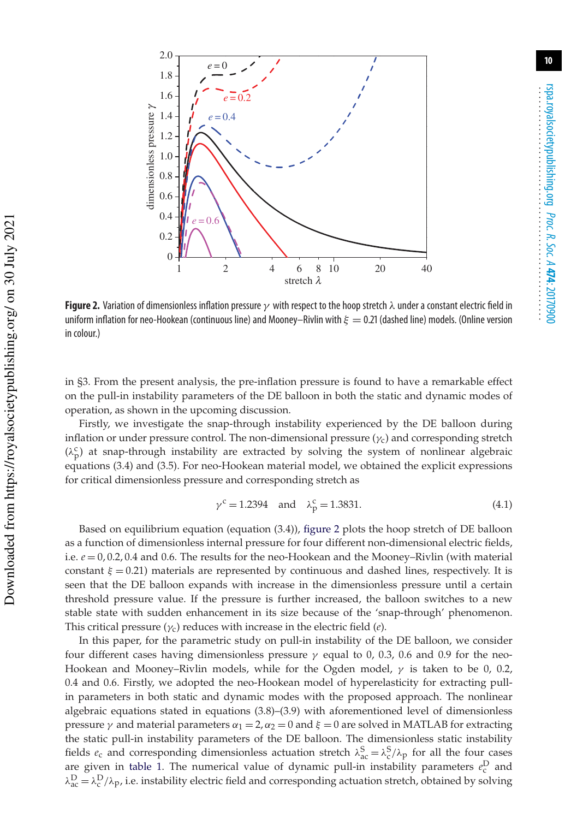

**Figure 2.** Variation of dimensionless inflation pressure γ with respect to the hoop stretch λ under a constant electric field in uniform inflation for neo-Hookean (continuous line) and Mooney–Rivlin with  $\xi = 0.21$  (dashed line) models. (Online version in colour.)

in §3. From the present analysis, the pre-inflation pressure is found to have a remarkable effect on the pull-in instability parameters of the DE balloon in both the static and dynamic modes of operation, as shown in the upcoming discussion.

Firstly, we investigate the snap-through instability experienced by the DE balloon during inflation or under pressure control. The non-dimensional pressure  $(\gamma_c)$  and corresponding stretch  $(\lambda_p^c)$  at snap-through instability are extracted by solving the system of nonlinear algebraic equations (3.4) and (3.5). For neo-Hookean material model, we obtained the explicit expressions for critical dimensionless pressure and corresponding stretch as

$$
\gamma^c = 1.2394
$$
 and  $\lambda_p^c = 1.3831$ . (4.1)

Based on equilibrium equation (equation (3.4)), figure 2 plots the hoop stretch of DE balloon as a function of dimensionless internal pressure for four different non-dimensional electric fields, i.e. *e* = 0, 0.2, 0.4 and 0.6. The results for the neo-Hookean and the Mooney–Rivlin (with material constant  $\xi = 0.21$ ) materials are represented by continuous and dashed lines, respectively. It is seen that the DE balloon expands with increase in the dimensionless pressure until a certain threshold pressure value. If the pressure is further increased, the balloon switches to a new stable state with sudden enhancement in its size because of the 'snap-through' phenomenon. This critical pressure (γc) reduces with increase in the electric field (*e*).

In this paper, for the parametric study on pull-in instability of the DE balloon, we consider four different cases having dimensionless pressure  $\gamma$  equal to 0, 0.3, 0.6 and 0.9 for the neo-Hookean and Mooney–Rivlin models, while for the Ogden model,  $\gamma$  is taken to be 0, 0.2, 0.4 and 0.6. Firstly, we adopted the neo-Hookean model of hyperelasticity for extracting pullin parameters in both static and dynamic modes with the proposed approach. The nonlinear algebraic equations stated in equations (3.8)–(3.9) with aforementioned level of dimensionless pressure  $\gamma$  and material parameters  $\alpha_1 = 2$ ,  $\alpha_2 = 0$  and  $\xi = 0$  are solved in MATLAB for extracting the static pull-in instability parameters of the DE balloon. The dimensionless static instability fields  $e_c$  and corresponding dimensionless actuation stretch  $\lambda_{ac}^S = \lambda_c^S/\lambda_p$  for all the four cases are given in table 1. The numerical value of dynamic pull-in instability parameters  $e_c^D$  and  $\lambda_{ac}^D = \lambda_c^D/\lambda_p$ , i.e. instability electric field and corresponding actuation stretch, obtained by solving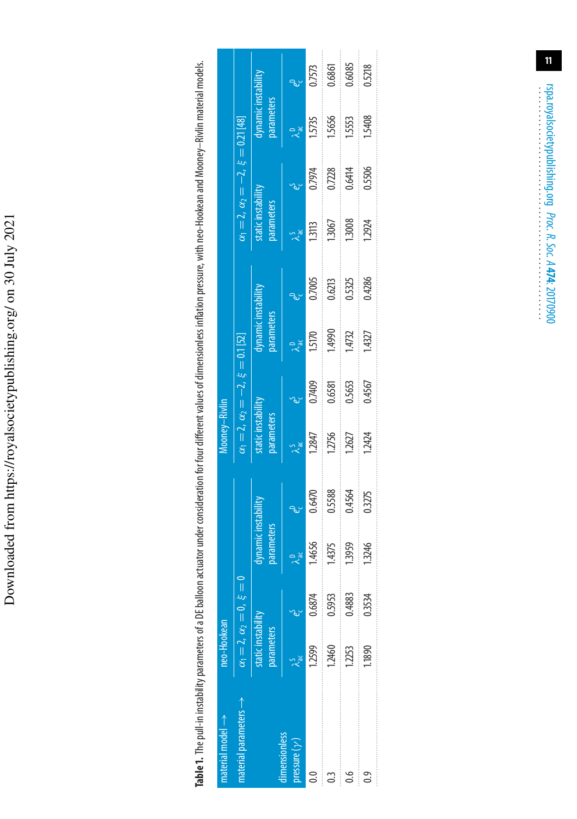Downloaded from https://royalsocietypublishing.org/ on 30 July 2021 Downloaded from https://royalsocietypublishing.org/ on 30 July 2021 Table 1. The pull-in instability parameters of a DE balloon actuator under consideration for four different values of dimensionless inflation pressure, with neo-Hookean and Mooney-Rivlin material models. **Table 1.** The pull-in instability parameters of a DE balloon actuator under consideration for four different values of dimensionless inflation pressure, with neo-Hookean and Mooney–Rivlin material models.

| $natural \rightarrow$                 | neo-Hookean                      |                                       |                                        |                                                                                                                                                                                                                                                                                                                                                                                                                                                                                                                                                                      | Mooney-Rivlin                   |                                                   |                                          |                         |                                                            |                                                                              |                                   |        |
|---------------------------------------|----------------------------------|---------------------------------------|----------------------------------------|----------------------------------------------------------------------------------------------------------------------------------------------------------------------------------------------------------------------------------------------------------------------------------------------------------------------------------------------------------------------------------------------------------------------------------------------------------------------------------------------------------------------------------------------------------------------|---------------------------------|---------------------------------------------------|------------------------------------------|-------------------------|------------------------------------------------------------|------------------------------------------------------------------------------|-----------------------------------|--------|
| aterial parameters $\rightarrow$      |                                  | $\alpha_1 = 2, \alpha_2 = 0, \xi = 0$ |                                        |                                                                                                                                                                                                                                                                                                                                                                                                                                                                                                                                                                      |                                 | $\alpha_1 = 2, \ \alpha_2 = -2, \ \xi = 0.1$ [52] |                                          |                         |                                                            | $\alpha_1 = 2, \alpha_2 = -2, \xi = 0.21 [48]$<br>static instability dynamid |                                   |        |
|                                       | static instability<br>parameters |                                       | ynamic instability<br><b>arameters</b> |                                                                                                                                                                                                                                                                                                                                                                                                                                                                                                                                                                      | tatic instability<br>parameters |                                                   | dynamic instability<br><b>Jarameters</b> |                         | parameters                                                 |                                                                              | dynamic instability<br>parameters |        |
| mensionless<br>$v$ ressure $(\gamma)$ | $\lambda_{ac}^{S}$ $e_{c}^{S}$   |                                       |                                        |                                                                                                                                                                                                                                                                                                                                                                                                                                                                                                                                                                      | $\chi^2_{\rm ac}$               |                                                   | $\lambda_{ac}^0$                         |                         | $\lambda_{ac}^{5}$                                         |                                                                              | $\lambda_{ac}^{D}$                |        |
|                                       | .2599                            | 0.6874                                | 4656                                   | 0.6470                                                                                                                                                                                                                                                                                                                                                                                                                                                                                                                                                               | 1.2847                          | 0.7409                                            | 1.5170                                   | $\frac{0.7005}{0.6213}$ | $\begin{array}{c}\n 13113 \\ \hline\n 13067\n \end{array}$ | 0.7974                                                                       | 1.5735                            | 0.7573 |
|                                       | .2460                            | 0.5953                                | 1.4375                                 | 0.5588<br>$\begin{aligned} \mathcal{L}_{\mathcal{F}}(\mathcal{L}_{\mathcal{F}}(\mathcal{L}_{\mathcal{F}}(\mathcal{L}_{\mathcal{F}}(\mathcal{L}_{\mathcal{F}}(\mathcal{L}_{\mathcal{F}}(\mathcal{L}_{\mathcal{F}}(\mathcal{L}_{\mathcal{F}}(\mathcal{L}_{\mathcal{F}}(\mathcal{L}_{\mathcal{F}}(\mathcal{L}_{\mathcal{F}}(\mathcal{L}_{\mathcal{F}}(\mathcal{L}_{\mathcal{F}}(\mathcal{L}_{\mathcal{F}}(\mathcal{L}_{\mathcal{F}}(\mathcal{L}_{\mathcal{F}}(\mathcal{L}_{\mathcal{F}}(\mathcal{L}_{\mathcal{F$                                                        | 1.2756                          | 0.6581                                            | 1,4990                                   |                         |                                                            | 0.7228                                                                       | 1,5656                            | 0.6861 |
|                                       | 1,2253                           | 0.4883                                | .<br>1.3959                            | 0.4564                                                                                                                                                                                                                                                                                                                                                                                                                                                                                                                                                               | 1262                            | 0.5653                                            | 1.4732                                   | 0.5325                  | 13008                                                      | 0.6414                                                                       | 1553                              | 0.6085 |
|                                       | ,1890                            | 0.3534                                | 1.3246                                 | $\begin{aligned} \begin{minipage}{0.5\textwidth} \centering \begin{minipage}{0.5\textwidth} \centering \end{minipage} \end{minipage} \end{minipage} \begin{minipage}{0.5\textwidth} \centering \begin{minipage}{0.5\textwidth} \centering \end{minipage} \end{minipage} \end{minipage} \begin{minipage}{0.5\textwidth} \centering \begin{minipage}{0.5\textwidth} \centering \end{minipage} \end{minipage} \end{minipage} \caption{Example of \textit{G} and \textit{G} and \textit{G} are the same as \textit{G} and \textit{G} are the same as \textit{$<br>0.3275 | 1.2424                          | 0.4567                                            | 1.4327                                   | 0.4286                  | 1.2924                                                     | 0.5506                                                                       | $\frac{1}{2}$<br>1.5408           | 0.5218 |
|                                       |                                  |                                       |                                        |                                                                                                                                                                                                                                                                                                                                                                                                                                                                                                                                                                      |                                 |                                                   |                                          |                         |                                                            |                                                                              |                                   |        |

**11**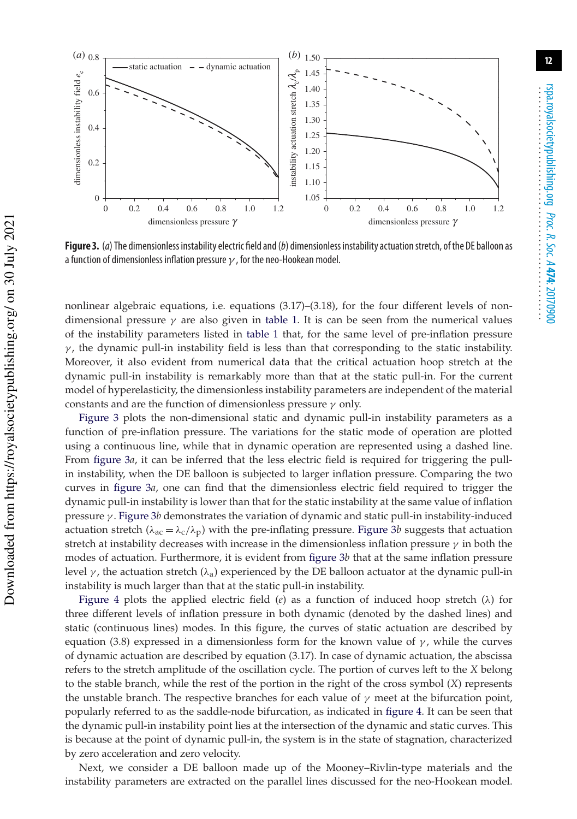

**Figure 3.** (a) The dimensionless instability electric field and (b) dimensionless instability actuation stretch, of the DE balloon as a function of dimensionless inflation pressure  $\gamma$ , for the neo-Hookean model.

nonlinear algebraic equations, i.e. equations (3.17)–(3.18), for the four different levels of nondimensional pressure  $\gamma$  are also given in table 1. It is can be seen from the numerical values of the instability parameters listed in table 1 that, for the same level of pre-inflation pressure  $\gamma$ , the dynamic pull-in instability field is less than that corresponding to the static instability. Moreover, it also evident from numerical data that the critical actuation hoop stretch at the dynamic pull-in instability is remarkably more than that at the static pull-in. For the current model of hyperelasticity, the dimensionless instability parameters are independent of the material constants and are the function of dimensionless pressure  $\gamma$  only.

Figure 3 plots the non-dimensional static and dynamic pull-in instability parameters as a function of pre-inflation pressure. The variations for the static mode of operation are plotted using a continuous line, while that in dynamic operation are represented using a dashed line. From figure 3*a*, it can be inferred that the less electric field is required for triggering the pullin instability, when the DE balloon is subjected to larger inflation pressure. Comparing the two curves in figure 3*a*, one can find that the dimensionless electric field required to trigger the dynamic pull-in instability is lower than that for the static instability at the same value of inflation pressure γ . Figure 3*b* demonstrates the variation of dynamic and static pull-in instability-induced actuation stretch ( $\lambda_{ac} = \lambda_c / \lambda_p$ ) with the pre-inflating pressure. Figure 3*b* suggests that actuation stretch at instability decreases with increase in the dimensionless inflation pressure  $\gamma$  in both the modes of actuation. Furthermore, it is evident from figure 3*b* that at the same inflation pressure level  $\gamma$ , the actuation stretch ( $\lambda_a$ ) experienced by the DE balloon actuator at the dynamic pull-in instability is much larger than that at the static pull-in instability.

Figure 4 plots the applied electric field (*e*) as a function of induced hoop stretch ( $\lambda$ ) for three different levels of inflation pressure in both dynamic (denoted by the dashed lines) and static (continuous lines) modes. In this figure, the curves of static actuation are described by equation (3.8) expressed in a dimensionless form for the known value of  $\gamma$ , while the curves of dynamic actuation are described by equation (3.17). In case of dynamic actuation, the abscissa refers to the stretch amplitude of the oscillation cycle. The portion of curves left to the *X* belong to the stable branch, while the rest of the portion in the right of the cross symbol (*X*) represents the unstable branch. The respective branches for each value of  $\gamma$  meet at the bifurcation point, popularly referred to as the saddle-node bifurcation, as indicated in figure 4. It can be seen that the dynamic pull-in instability point lies at the intersection of the dynamic and static curves. This is because at the point of dynamic pull-in, the system is in the state of stagnation, characterized by zero acceleration and zero velocity.

Next, we consider a DE balloon made up of the Mooney–Rivlin-type materials and the instability parameters are extracted on the parallel lines discussed for the neo-Hookean model.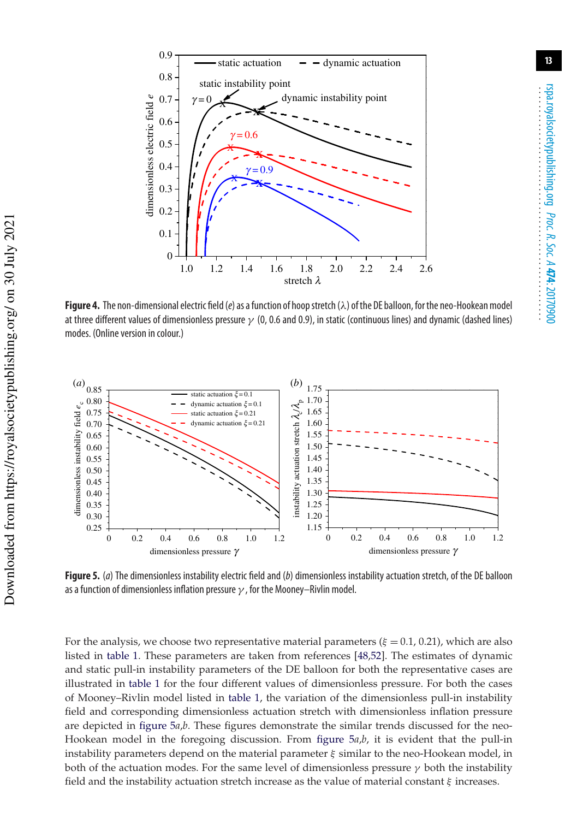

**Figure 4.** The non-dimensional electric field (e) as a function of hoopstretch (λ) of the DE balloon, for the neo-Hookean model at three different values of dimensionless pressure  $\gamma$  (0, 0.6 and 0.9), in static (continuous lines) and dynamic (dashed lines) modes. (Online version in colour.)



**Figure 5.** (a) The dimensionless instability electric field and (b) dimensionless instability actuation stretch, of the DE balloon as a function of dimensionless inflation pressure  $\gamma$ , for the Mooney–Rivlin model.

For the analysis, we choose two representative material parameters ( $\xi = 0.1$ , 0.21), which are also listed in table 1. These parameters are taken from references [48,52]. The estimates of dynamic and static pull-in instability parameters of the DE balloon for both the representative cases are illustrated in table 1 for the four different values of dimensionless pressure. For both the cases of Mooney–Rivlin model listed in table 1, the variation of the dimensionless pull-in instability field and corresponding dimensionless actuation stretch with dimensionless inflation pressure are depicted in figure 5*a*,*b*. These figures demonstrate the similar trends discussed for the neo-Hookean model in the foregoing discussion. From figure 5*a*,*b*, it is evident that the pull-in instability parameters depend on the material parameter  $\xi$  similar to the neo-Hookean model, in both of the actuation modes. For the same level of dimensionless pressure  $\gamma$  both the instability field and the instability actuation stretch increase as the value of material constant  $\xi$  increases.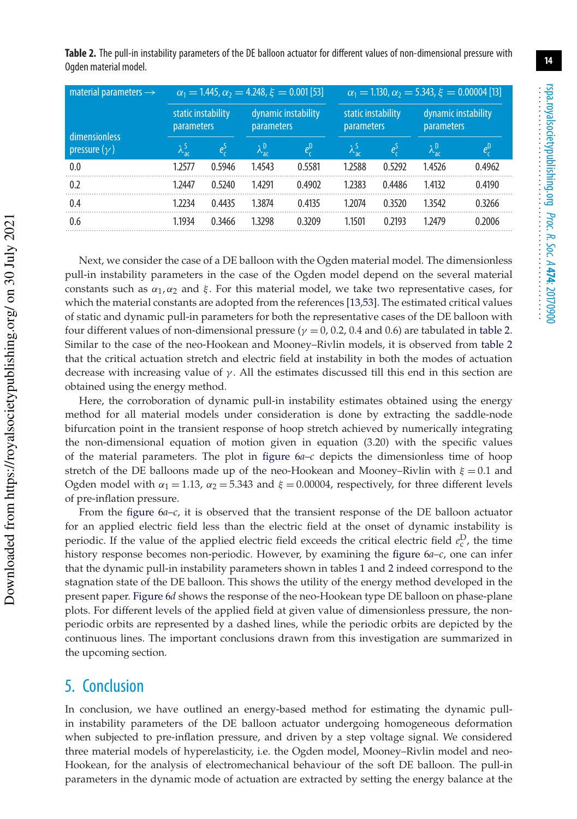**Table 2.** The pull-in instability parameters of the DE balloon actuator for different values of non-dimensional pressure with Ogden material model.

| material parameters $\rightarrow$ | $\alpha_1 = 1.445$ , $\alpha_2 = 4.248$ , $\xi = 0.001$ [53] |        |                                          |         | $\alpha_1 = 1.130$ , $\alpha_2 = 5.343$ , $\xi = 0.00004$ [13] |        |                                          |               |
|-----------------------------------|--------------------------------------------------------------|--------|------------------------------------------|---------|----------------------------------------------------------------|--------|------------------------------------------|---------------|
| dimensionless                     | static instability<br><b>parameters</b>                      |        | dynamic instability<br><b>parameters</b> |         | static instability<br>parameters                               |        | dynamic instability<br><b>parameters</b> |               |
| pressure $(\gamma)$               | $\lambda_{ac}^{S}$                                           | $e^S$  | $\lambda_{\mathsf{ac}}^{\mathsf{D}}$     | $e_c^0$ | $\lambda_{\text{ac}}^{\text{S}}$                               | $e_r$  | $\lambda_{\rm ac}^{\rm D}$               | $e_c^{\rm D}$ |
| 0.0                               | 1.2577                                                       | 0.5946 | 1.4543                                   | 0.5581  | 1.2588                                                         | 0.5292 | 1.4526                                   | 0.4962        |
| 0.2                               | 1.2447                                                       | 0.5240 | 1.4291                                   | 0.4902  | 1.2383                                                         | 0.4486 | 1.4132                                   | 0.4190        |
| 0.4                               | 1 2 2 3 4                                                    | 0.4435 | 1.3874                                   | 0.4135  | 1 2 0 7 4                                                      | 0.3520 | 1.3542                                   | 0.3266        |
| 0.6                               | 1.1934                                                       | 0.3466 | 1.3298                                   | 0.3209  | 1.1501                                                         | 0.2193 | 1.2479                                   | 0.2006        |

Next, we consider the case of a DE balloon with the Ogden material model. The dimensionless pull-in instability parameters in the case of the Ogden model depend on the several material constants such as  $\alpha_1, \alpha_2$  and ξ. For this material model, we take two representative cases, for which the material constants are adopted from the references [13,53]. The estimated critical values of static and dynamic pull-in parameters for both the representative cases of the DE balloon with four different values of non-dimensional pressure ( $\gamma = 0$ , 0.2, 0.4 and 0.6) are tabulated in table 2. Similar to the case of the neo-Hookean and Mooney–Rivlin models, it is observed from table 2 that the critical actuation stretch and electric field at instability in both the modes of actuation decrease with increasing value of  $\gamma$ . All the estimates discussed till this end in this section are obtained using the energy method.

Here, the corroboration of dynamic pull-in instability estimates obtained using the energy method for all material models under consideration is done by extracting the saddle-node bifurcation point in the transient response of hoop stretch achieved by numerically integrating the non-dimensional equation of motion given in equation (3.20) with the specific values of the material parameters. The plot in figure 6*a*–*c* depicts the dimensionless time of hoop stretch of the DE balloons made up of the neo-Hookean and Mooney–Rivlin with  $\xi = 0.1$  and Ogden model with  $\alpha_1 = 1.13$ ,  $\alpha_2 = 5.343$  and  $\xi = 0.00004$ , respectively, for three different levels of pre-inflation pressure.

From the figure 6*a*–*c*, it is observed that the transient response of the DE balloon actuator for an applied electric field less than the electric field at the onset of dynamic instability is periodic. If the value of the applied electric field exceeds the critical electric field  $e_{\rm c}^{\rm D}$ , the time history response becomes non-periodic. However, by examining the figure 6*a*–*c*, one can infer that the dynamic pull-in instability parameters shown in tables 1 and 2 indeed correspond to the stagnation state of the DE balloon. This shows the utility of the energy method developed in the present paper. Figure 6*d* shows the response of the neo-Hookean type DE balloon on phase-plane plots. For different levels of the applied field at given value of dimensionless pressure, the nonperiodic orbits are represented by a dashed lines, while the periodic orbits are depicted by the continuous lines. The important conclusions drawn from this investigation are summarized in the upcoming section.

#### 5. Conclusion

In conclusion, we have outlined an energy-based method for estimating the dynamic pullin instability parameters of the DE balloon actuator undergoing homogeneous deformation when subjected to pre-inflation pressure, and driven by a step voltage signal. We considered three material models of hyperelasticity, i.e. the Ogden model, Mooney–Rivlin model and neo-Hookean, for the analysis of electromechanical behaviour of the soft DE balloon. The pull-in parameters in the dynamic mode of actuation are extracted by setting the energy balance at the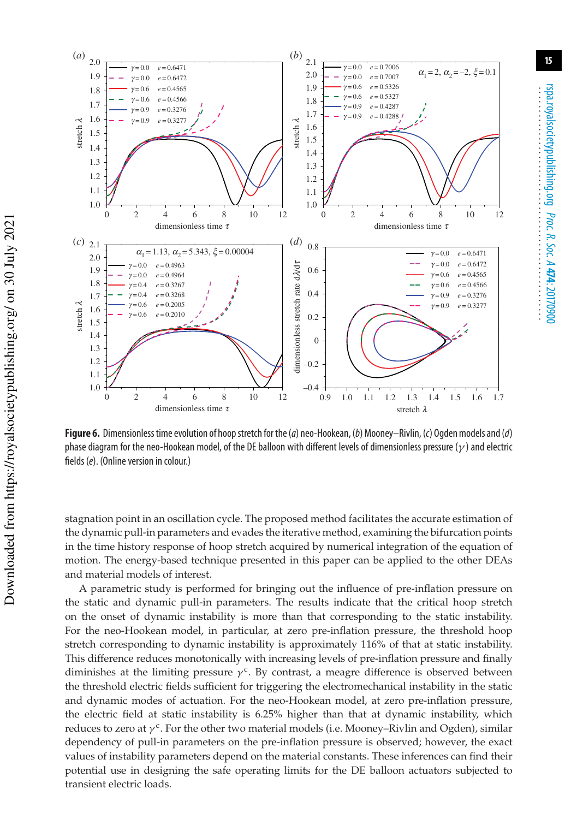

**Figure 6.** Dimensionless time evolution of hoop stretch for the (a) neo-Hookean, (b) Mooney–Rivlin, (c) Ogden models and (d) phase diagram for the neo-Hookean model, of the DE balloon with different levels of dimensionless pressure ( $\gamma$ ) and electric fields (e). (Online version in colour.)

stagnation point in an oscillation cycle. The proposed method facilitates the accurate estimation of the dynamic pull-in parameters and evades the iterative method, examining the bifurcation points in the time history response of hoop stretch acquired by numerical integration of the equation of motion. The energy-based technique presented in this paper can be applied to the other DEAs and material models of interest.

A parametric study is performed for bringing out the influence of pre-inflation pressure on the static and dynamic pull-in parameters. The results indicate that the critical hoop stretch on the onset of dynamic instability is more than that corresponding to the static instability. For the neo-Hookean model, in particular, at zero pre-inflation pressure, the threshold hoop stretch corresponding to dynamic instability is approximately 116% of that at static instability. This difference reduces monotonically with increasing levels of pre-inflation pressure and finally diminishes at the limiting pressure  $\gamma^c$ . By contrast, a meagre difference is observed between the threshold electric fields sufficient for triggering the electromechanical instability in the static and dynamic modes of actuation. For the neo-Hookean model, at zero pre-inflation pressure, the electric field at static instability is 6.25% higher than that at dynamic instability, which reduces to zero at  $\gamma^c$ . For the other two material models (i.e. Mooney–Rivlin and Ogden), similar dependency of pull-in parameters on the pre-inflation pressure is observed; however, the exact values of instability parameters depend on the material constants. These inferences can find their potential use in designing the safe operating limits for the DE balloon actuators subjected to transient electric loads.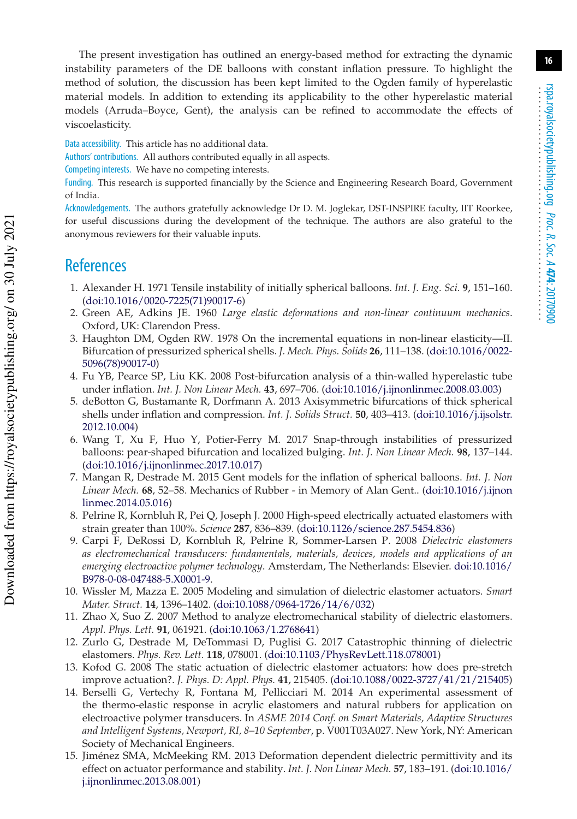The present investigation has outlined an energy-based method for extracting the dynamic instability parameters of the DE balloons with constant inflation pressure. To highlight the method of solution, the discussion has been kept limited to the Ogden family of hyperelastic material models. In addition to extending its applicability to the other hyperelastic material models (Arruda–Boyce, Gent), the analysis can be refined to accommodate the effects of viscoelasticity.

Data accessibility. This article has no additional data.

Authors' contributions. All authors contributed equally in all aspects.

Competing interests. We have no competing interests.

Funding. This research is supported financially by the Science and Engineering Research Board, Government of India.

Acknowledgements. The authors gratefully acknowledge Dr D. M. Joglekar, DST-INSPIRE faculty, IIT Roorkee, for useful discussions during the development of the technique. The authors are also grateful to the anonymous reviewers for their valuable inputs.

### **References**

- 1. Alexander H. 1971 Tensile instability of initially spherical balloons. *Int. J. Eng. Sci.* **9**, 151–160. (doi:10.1016/0020-7225(71)90017-6)
- 2. Green AE, Adkins JE. 1960 *Large elastic deformations and non-linear continuum mechanics*. Oxford, UK: Clarendon Press.
- 3. Haughton DM, Ogden RW. 1978 On the incremental equations in non-linear elasticity—II. Bifurcation of pressurized spherical shells. *J. Mech. Phys. Solids* **26**, 111–138. (doi:10.1016/0022- 5096(78)90017-0)
- 4. Fu YB, Pearce SP, Liu KK. 2008 Post-bifurcation analysis of a thin-walled hyperelastic tube under inflation. *Int. J. Non Linear Mech.* **43**, 697–706. (doi:10.1016/j.ijnonlinmec.2008.03.003)
- 5. deBotton G, Bustamante R, Dorfmann A. 2013 Axisymmetric bifurcations of thick spherical shells under inflation and compression. *Int. J. Solids Struct.* **50**, 403–413. (doi:10.1016/j.ijsolstr. 2012.10.004)
- 6. Wang T, Xu F, Huo Y, Potier-Ferry M. 2017 Snap-through instabilities of pressurized balloons: pear-shaped bifurcation and localized bulging. *Int. J. Non Linear Mech.* **98**, 137–144. (doi:10.1016/j.ijnonlinmec.2017.10.017)
- 7. Mangan R, Destrade M. 2015 Gent models for the inflation of spherical balloons. *Int. J. Non Linear Mech.* **68**, 52–58. Mechanics of Rubber - in Memory of Alan Gent.. (doi:10.1016/j.ijnon linmec.2014.05.016)
- 8. Pelrine R, Kornbluh R, Pei Q, Joseph J. 2000 High-speed electrically actuated elastomers with strain greater than 100%. *Science* **287**, 836–839. (doi:10.1126/science.287.5454.836)
- 9. Carpi F, DeRossi D, Kornbluh R, Pelrine R, Sommer-Larsen P. 2008 *Dielectric elastomers as electromechanical transducers: fundamentals, materials, devices, models and applications of an emerging electroactive polymer technology*. Amsterdam, The Netherlands: Elsevier. doi:10.1016/ B978-0-08-047488-5.X0001-9.
- 10. Wissler M, Mazza E. 2005 Modeling and simulation of dielectric elastomer actuators. *Smart Mater. Struct.* **14**, 1396–1402. (doi:10.1088/0964-1726/14/6/032)
- 11. Zhao X, Suo Z. 2007 Method to analyze electromechanical stability of dielectric elastomers. *Appl. Phys. Lett.* **91**, 061921. (doi:10.1063/1.2768641)
- 12. Zurlo G, Destrade M, DeTommasi D, Puglisi G. 2017 Catastrophic thinning of dielectric elastomers. *Phys. Rev. Lett.* **118**, 078001. (doi:10.1103/PhysRevLett.118.078001)
- 13. Kofod G. 2008 The static actuation of dielectric elastomer actuators: how does pre-stretch improve actuation?. *J. Phys. D: Appl. Phys.* **41**, 215405. (doi:10.1088/0022-3727/41/21/215405)
- 14. Berselli G, Vertechy R, Fontana M, Pellicciari M. 2014 An experimental assessment of the thermo-elastic response in acrylic elastomers and natural rubbers for application on electroactive polymer transducers. In *ASME 2014 Conf. on Smart Materials, Adaptive Structures and Intelligent Systems, Newport, RI, 8–10 September*, p. V001T03A027. New York, NY: American Society of Mechanical Engineers.
- 15. Jiménez SMA, McMeeking RM. 2013 Deformation dependent dielectric permittivity and its effect on actuator performance and stability. *Int. J. Non Linear Mech.* **57**, 183–191. (doi:10.1016/ j.ijnonlinmec.2013.08.001)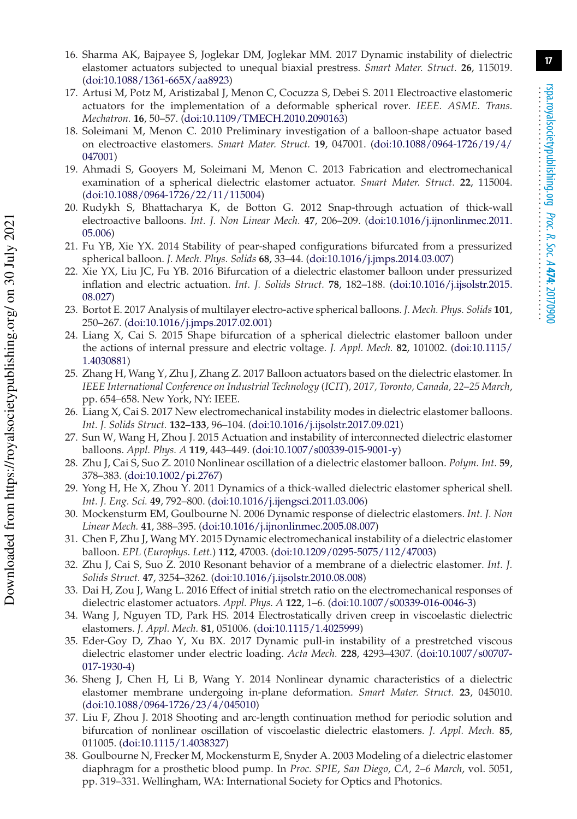- 16. Sharma AK, Bajpayee S, Joglekar DM, Joglekar MM. 2017 Dynamic instability of dielectric elastomer actuators subjected to unequal biaxial prestress. *Smart Mater. Struct.* **26**, 115019. (doi:10.1088/1361-665X/aa8923)
- 17. Artusi M, Potz M, Aristizabal J, Menon C, Cocuzza S, Debei S. 2011 Electroactive elastomeric actuators for the implementation of a deformable spherical rover. *IEEE. ASME. Trans. Mechatron.* **16**, 50–57. (doi:10.1109/TMECH.2010.2090163)
- 18. Soleimani M, Menon C. 2010 Preliminary investigation of a balloon-shape actuator based on electroactive elastomers. *Smart Mater. Struct.* **19**, 047001. (doi:10.1088/0964-1726/19/4/ 047001)
- 19. Ahmadi S, Gooyers M, Soleimani M, Menon C. 2013 Fabrication and electromechanical examination of a spherical dielectric elastomer actuator. *Smart Mater. Struct.* **22**, 115004. (doi:10.1088/0964-1726/22/11/115004)
- 20. Rudykh S, Bhattacharya K, de Botton G. 2012 Snap-through actuation of thick-wall electroactive balloons. *Int. J. Non Linear Mech.* **47**, 206–209. (doi:10.1016/j.ijnonlinmec.2011. 05.006)
- 21. Fu YB, Xie YX. 2014 Stability of pear-shaped configurations bifurcated from a pressurized spherical balloon. *J. Mech. Phys. Solids* **68**, 33–44. (doi:10.1016/j.jmps.2014.03.007)
- 22. Xie YX, Liu JC, Fu YB. 2016 Bifurcation of a dielectric elastomer balloon under pressurized inflation and electric actuation. *Int. J. Solids Struct.* **78**, 182–188. (doi:10.1016/j.ijsolstr.2015. 08.027)
- 23. Bortot E. 2017 Analysis of multilayer electro-active spherical balloons. *J. Mech. Phys. Solids* **101**, 250–267. (doi:10.1016/j.jmps.2017.02.001)
- 24. Liang X, Cai S. 2015 Shape bifurcation of a spherical dielectric elastomer balloon under the actions of internal pressure and electric voltage. *J. Appl. Mech.* **82**, 101002. (doi:10.1115/ 1.4030881)
- 25. Zhang H, Wang Y, Zhu J, Zhang Z. 2017 Balloon actuators based on the dielectric elastomer. In *IEEE International Conference on Industrial Technology* (*ICIT*)*, 2017, Toronto, Canada, 22–25 March*, pp. 654–658. New York, NY: IEEE.
- 26. Liang X, Cai S. 2017 New electromechanical instability modes in dielectric elastomer balloons. *Int. J. Solids Struct.* **132–133**, 96–104. (doi:10.1016/j.ijsolstr.2017.09.021)
- 27. Sun W, Wang H, Zhou J. 2015 Actuation and instability of interconnected dielectric elastomer balloons. *Appl. Phys. A* **119**, 443–449. (doi:10.1007/s00339-015-9001-y)
- 28. Zhu J, Cai S, Suo Z. 2010 Nonlinear oscillation of a dielectric elastomer balloon. *Polym. Int.* **59**, 378–383. (doi:10.1002/pi.2767)
- 29. Yong H, He X, Zhou Y. 2011 Dynamics of a thick-walled dielectric elastomer spherical shell. *Int. J. Eng. Sci.* **49**, 792–800. (doi:10.1016/j.ijengsci.2011.03.006)
- 30. Mockensturm EM, Goulbourne N. 2006 Dynamic response of dielectric elastomers. *Int. J. Non Linear Mech.* **41**, 388–395. (doi:10.1016/j.ijnonlinmec.2005.08.007)
- 31. Chen F, Zhu J, Wang MY. 2015 Dynamic electromechanical instability of a dielectric elastomer balloon. *EPL* (*Europhys. Lett.*) **112**, 47003. (doi:10.1209/0295-5075/112/47003)
- 32. Zhu J, Cai S, Suo Z. 2010 Resonant behavior of a membrane of a dielectric elastomer. *Int. J. Solids Struct.* **47**, 3254–3262. (doi:10.1016/j.ijsolstr.2010.08.008)
- 33. Dai H, Zou J, Wang L. 2016 Effect of initial stretch ratio on the electromechanical responses of dielectric elastomer actuators. *Appl. Phys. A* **122**, 1–6. (doi:10.1007/s00339-016-0046-3)
- 34. Wang J, Nguyen TD, Park HS. 2014 Electrostatically driven creep in viscoelastic dielectric elastomers. *J. Appl. Mech.* **81**, 051006. (doi:10.1115/1.4025999)
- 35. Eder-Goy D, Zhao Y, Xu BX. 2017 Dynamic pull-in instability of a prestretched viscous dielectric elastomer under electric loading. *Acta Mech.* **228**, 4293–4307. (doi:10.1007/s00707- 017-1930-4)
- 36. Sheng J, Chen H, Li B, Wang Y. 2014 Nonlinear dynamic characteristics of a dielectric elastomer membrane undergoing in-plane deformation. *Smart Mater. Struct.* **23**, 045010. (doi:10.1088/0964-1726/23/4/045010)
- 37. Liu F, Zhou J. 2018 Shooting and arc-length continuation method for periodic solution and bifurcation of nonlinear oscillation of viscoelastic dielectric elastomers. *J. Appl. Mech.* **85**, 011005. (doi:10.1115/1.4038327)
- 38. Goulbourne N, Frecker M, Mockensturm E, Snyder A. 2003 Modeling of a dielectric elastomer diaphragm for a prosthetic blood pump. In *Proc. SPIE*, *San Diego, CA, 2–6 March*, vol. 5051, pp. 319–331. Wellingham, WA: International Society for Optics and Photonics.